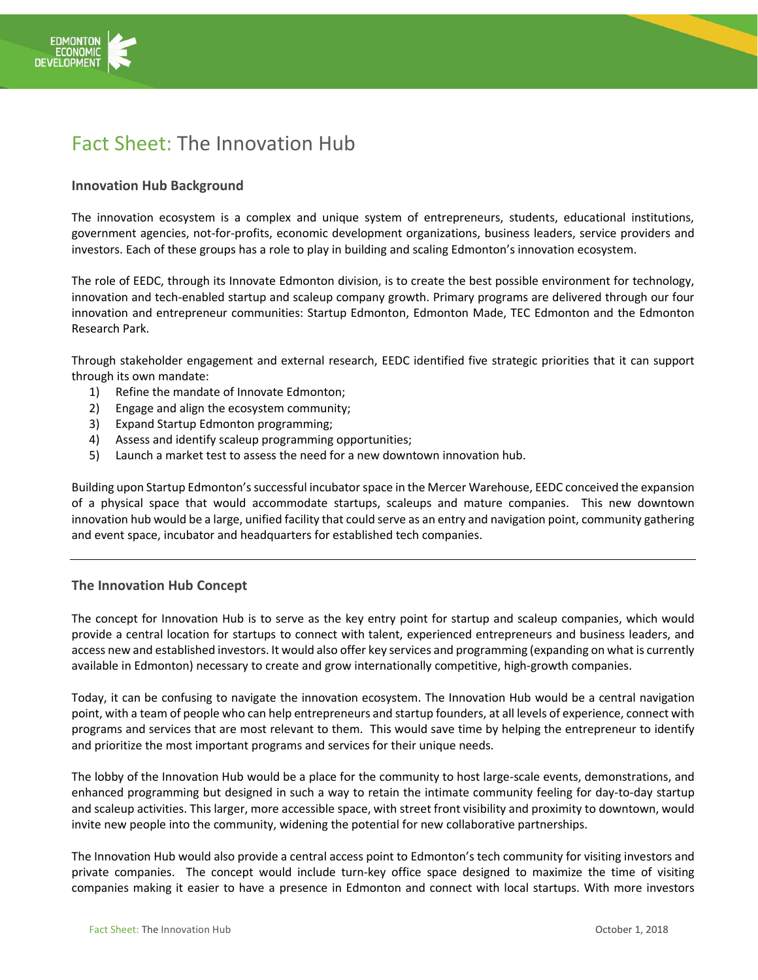

## Fact Sheet: The Innovation Hub

## **Innovation Hub Background**

The innovation ecosystem is a complex and unique system of entrepreneurs, students, educational institutions, government agencies, not-for-profits, economic development organizations, business leaders, service providers and investors. Each of these groups has a role to play in building and scaling Edmonton's innovation ecosystem.

The role of EEDC, through its Innovate Edmonton division, is to create the best possible environment for technology, innovation and tech-enabled startup and scaleup company growth. Primary programs are delivered through our four innovation and entrepreneur communities: Startup Edmonton, Edmonton Made, TEC Edmonton and the Edmonton Research Park.

Through stakeholder engagement and external research, EEDC identified five strategic priorities that it can support through its own mandate:

- 1) Refine the mandate of Innovate Edmonton;
- 2) Engage and align the ecosystem community;
- 3) Expand Startup Edmonton programming;
- 4) Assess and identify scaleup programming opportunities;
- 5) Launch a market test to assess the need for a new downtown innovation hub.

Building upon Startup Edmonton'ssuccessful incubator space in the Mercer Warehouse, EEDC conceived the expansion of a physical space that would accommodate startups, scaleups and mature companies. This new downtown innovation hub would be a large, unified facility that could serve as an entry and navigation point, community gathering and event space, incubator and headquarters for established tech companies.

## **The Innovation Hub Concept**

The concept for Innovation Hub is to serve as the key entry point for startup and scaleup companies, which would provide a central location for startups to connect with talent, experienced entrepreneurs and business leaders, and access new and established investors. It would also offer key services and programming (expanding on what is currently available in Edmonton) necessary to create and grow internationally competitive, high-growth companies.

Today, it can be confusing to navigate the innovation ecosystem. The Innovation Hub would be a central navigation point, with a team of people who can help entrepreneurs and startup founders, at all levels of experience, connect with programs and services that are most relevant to them. This would save time by helping the entrepreneur to identify and prioritize the most important programs and services for their unique needs.

The lobby of the Innovation Hub would be a place for the community to host large-scale events, demonstrations, and enhanced programming but designed in such a way to retain the intimate community feeling for day-to-day startup and scaleup activities. This larger, more accessible space, with street front visibility and proximity to downtown, would invite new people into the community, widening the potential for new collaborative partnerships.

The Innovation Hub would also provide a central access point to Edmonton's tech community for visiting investors and private companies. The concept would include turn-key office space designed to maximize the time of visiting companies making it easier to have a presence in Edmonton and connect with local startups. With more investors